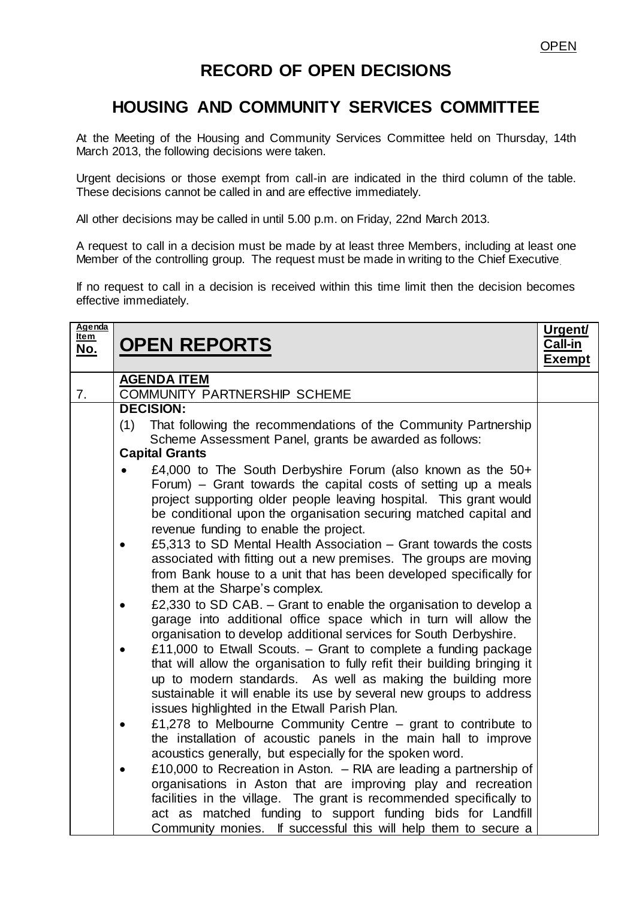## **RECORD OF OPEN DECISIONS**

## **HOUSING AND COMMUNITY SERVICES COMMITTEE**

At the Meeting of the Housing and Community Services Committee held on Thursday, 14th March 2013, the following decisions were taken.

Urgent decisions or those exempt from call-in are indicated in the third column of the table. These decisions cannot be called in and are effective immediately.

All other decisions may be called in until 5.00 p.m. on Friday, 22nd March 2013.

A request to call in a decision must be made by at least three Members, including at least one Member of the controlling group. The request must be made in writing to the Chief Executive.

If no request to call in a decision is received within this time limit then the decision becomes effective immediately.

| <u>Agenda</u><br>Item<br><u>No.</u> | <b>OPEN REPORTS</b>                                                                                                                                                                                                                                                                                                                            | Urgent/<br>Call-in<br><b>Exempt</b> |
|-------------------------------------|------------------------------------------------------------------------------------------------------------------------------------------------------------------------------------------------------------------------------------------------------------------------------------------------------------------------------------------------|-------------------------------------|
| 7.                                  | <b>AGENDA ITEM</b><br>COMMUNITY PARTNERSHIP SCHEME                                                                                                                                                                                                                                                                                             |                                     |
|                                     | <b>DECISION:</b>                                                                                                                                                                                                                                                                                                                               |                                     |
|                                     | (1)<br>That following the recommendations of the Community Partnership<br>Scheme Assessment Panel, grants be awarded as follows:                                                                                                                                                                                                               |                                     |
|                                     | <b>Capital Grants</b>                                                                                                                                                                                                                                                                                                                          |                                     |
|                                     | £4,000 to The South Derbyshire Forum (also known as the 50+<br>Forum) – Grant towards the capital costs of setting up a meals<br>project supporting older people leaving hospital. This grant would<br>be conditional upon the organisation securing matched capital and<br>revenue funding to enable the project.                             |                                     |
|                                     | £5,313 to SD Mental Health Association – Grant towards the costs<br>associated with fitting out a new premises. The groups are moving<br>from Bank house to a unit that has been developed specifically for<br>them at the Sharpe's complex.                                                                                                   |                                     |
|                                     | £2,330 to SD CAB. - Grant to enable the organisation to develop a<br>garage into additional office space which in turn will allow the<br>organisation to develop additional services for South Derbyshire.                                                                                                                                     |                                     |
|                                     | £11,000 to Etwall Scouts. - Grant to complete a funding package<br>that will allow the organisation to fully refit their building bringing it<br>up to modern standards. As well as making the building more<br>sustainable it will enable its use by several new groups to address<br>issues highlighted in the Etwall Parish Plan.           |                                     |
|                                     | £1,278 to Melbourne Community Centre $-$ grant to contribute to<br>the installation of acoustic panels in the main hall to improve<br>acoustics generally, but especially for the spoken word.                                                                                                                                                 |                                     |
|                                     | £10,000 to Recreation in Aston. $-$ RIA are leading a partnership of<br>organisations in Aston that are improving play and recreation<br>facilities in the village. The grant is recommended specifically to<br>act as matched funding to support funding bids for Landfill<br>Community monies. If successful this will help them to secure a |                                     |